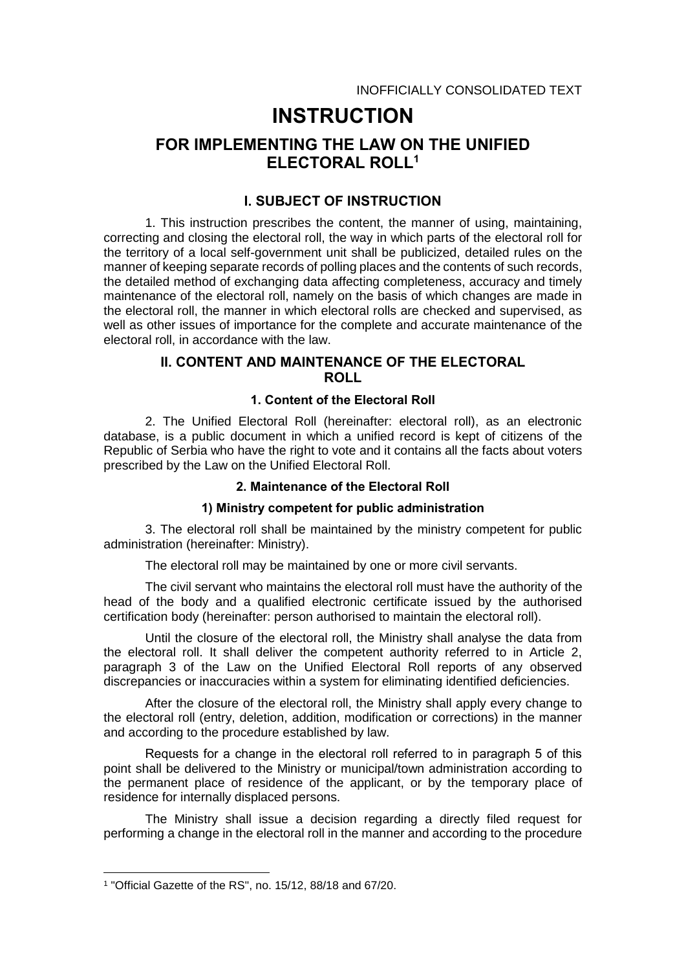# **INSTRUCTION**

# **FOR IMPLEMENTING THE LAW ON THE UNIFIED ELECTORAL ROLL<sup>1</sup>**

# **I. SUBJECT OF INSTRUCTION**

1. This instruction prescribes the content, the manner of using, maintaining, correcting and closing the electoral roll, the way in which parts of the electoral roll for the territory of a local self-government unit shall be publicized, detailed rules on the manner of keeping separate records of polling places and the contents of such records, the detailed method of exchanging data affecting completeness, accuracy and timely maintenance of the electoral roll, namely on the basis of which changes are made in the electoral roll, the manner in which electoral rolls are checked and supervised, as well as other issues of importance for the complete and accurate maintenance of the electoral roll, in accordance with the law.

# **II. CONTENT AND MAINTENANCE OF THE ELECTORAL ROLL**

### **1. Content of the Electoral Roll**

2. The Unified Electoral Roll (hereinafter: electoral roll), as an electronic database, is a public document in which a unified record is kept of citizens of the Republic of Serbia who have the right to vote and it contains all the facts about voters prescribed by the Law on the Unified Electoral Roll.

# **2. Maintenance of the Electoral Roll**

#### **1) Ministry competent for public administration**

3. The electoral roll shall be maintained by the ministry competent for public administration (hereinafter: Ministry).

The electoral roll may be maintained by one or more civil servants.

The civil servant who maintains the electoral roll must have the authority of the head of the body and a qualified electronic certificate issued by the authorised certification body (hereinafter: person authorised to maintain the electoral roll).

Until the closure of the electoral roll, the Ministry shall analyse the data from the electoral roll. It shall deliver the competent authority referred to in Article 2, paragraph 3 of the Law on the Unified Electoral Roll reports of any observed discrepancies or inaccuracies within a system for eliminating identified deficiencies.

After the closure of the electoral roll, the Ministry shall apply every change to the electoral roll (entry, deletion, addition, modification or corrections) in the manner and according to the procedure established by law.

Requests for а change in the electoral roll referred to in paragraph 5 of this point shall be delivered to the Ministry or municipal/town administration according to the permanent place of residence of the applicant, or by the temporary place of residence for internally displaced persons.

The Ministry shall issue a decision regarding a directly filed request for performing a change in the electoral roll in the manner and according to the procedure

-

<sup>1</sup> "Official Gazette of the RS", no. 15/12, 88/18 and 67/20.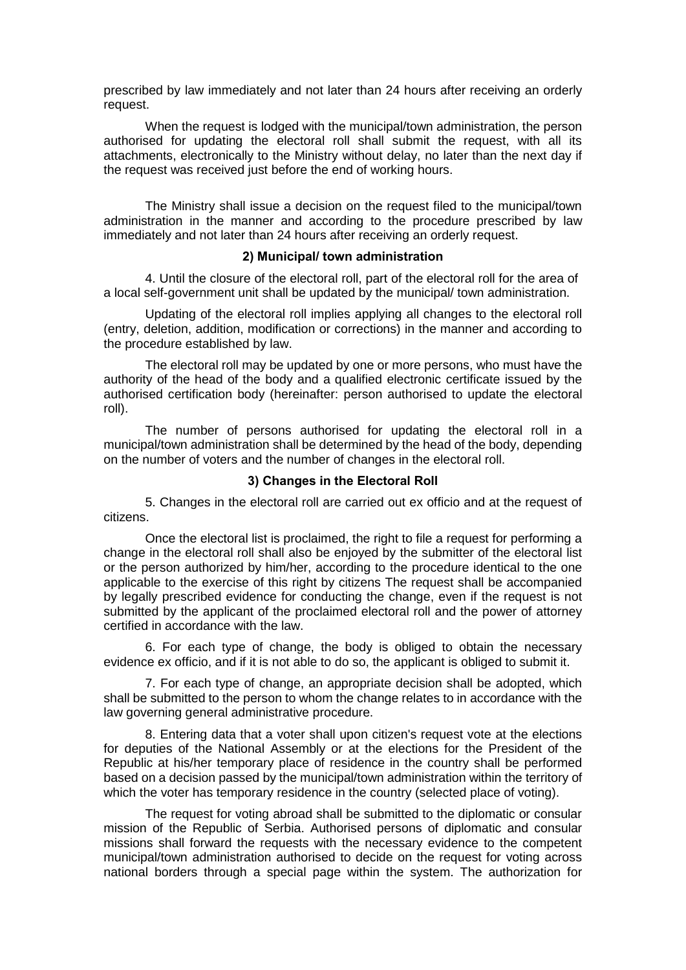prescribed by law immediately and not later than 24 hours after receiving an orderly request.

When the request is lodged with the municipal/town administration, the person authorised for updating the electoral roll shall submit the request, with all its attachments, electronically to the Ministry without delay, no later than the next day if the request was received just before the end of working hours.

The Ministry shall issue a decision on the request filed to the municipal/town administration in the manner and according to the procedure prescribed by law immediately and not later than 24 hours after receiving an orderly request.

#### **2) Municipal/ town administration**

4. Until the closure of the electoral roll, part of the electoral roll for the area of a local self-government unit shall be updated by the municipal/ town administration.

Updating of the electoral roll implies applying all changes to the electoral roll (entry, deletion, addition, modification or corrections) in the manner and according to the procedure established by law.

The electoral roll may be updated by one or more persons, who must have the authority of the head of the body and a qualified electronic certificate issued by the authorised certification body (hereinafter: person authorised to update the electoral roll).

The number of persons authorised for updating the electoral roll in a municipal/town administration shall be determined by the head of the body, depending on the number of voters and the number of changes in the electoral roll.

#### **3) Changes in the Electoral Roll**

5. Changes in the electoral roll are carried out ex officio and at the request of citizens.

Once the electoral list is proclaimed, the right to file a request for performing a change in the electoral roll shall also be enjoyed by the submitter of the electoral list or the person authorized by him/her, according to the procedure identical to the one applicable to the exercise of this right by citizens The request shall be accompanied by legally prescribed evidence for conducting the change, even if the request is not submitted by the applicant of the proclaimed electoral roll and the power of attorney certified in accordance with the law.

6. For each type of change, the body is obliged to obtain the necessary evidence ex officio, and if it is not able to do so, the applicant is obliged to submit it.

7. For each type of change, an appropriate decision shall be adopted, which shall be submitted to the person to whom the change relates to in accordance with the law governing general administrative procedure.

8. Entering data that a voter shall upon citizen's request vote at the elections for deputies of the National Assembly or at the elections for the President of the Republic at his/her temporary place of residence in the country shall be performed based on a decision passed by the municipal/town administration within the territory of which the voter has temporary residence in the country (selected place of voting).

The request for voting abroad shall be submitted to the diplomatic or consular mission of the Republic of Serbia. Authorised persons of diplomatic and consular missions shall forward the requests with the necessary evidence to the competent municipal/town administration authorised to decide on the request for voting across national borders through a special page within the system. The authorization for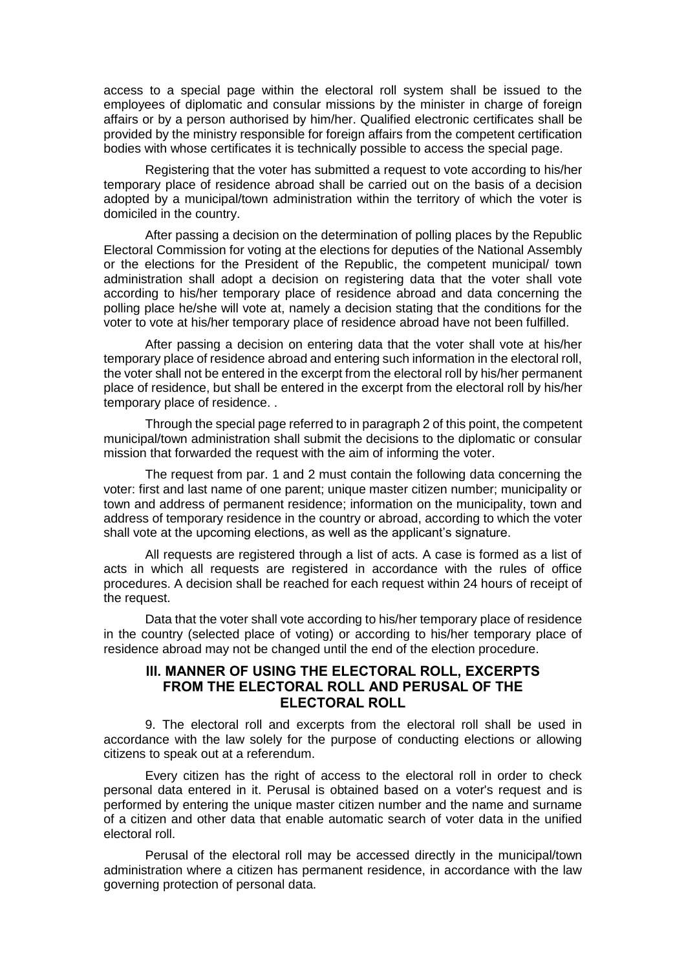access to a special page within the electoral roll system shall be issued to the employees of diplomatic and consular missions by the minister in charge of foreign affairs or by a person authorised by him/her. Qualified electronic certificates shall be provided by the ministry responsible for foreign affairs from the competent certification bodies with whose certificates it is technically possible to access the special page.

Registering that the voter has submitted a request to vote according to his/her temporary place of residence abroad shall be carried out on the basis of a decision adopted by a municipal/town administration within the territory of which the voter is domiciled in the country.

After passing a decision on the determination of polling places by the Republic Electoral Commission for voting at the elections for deputies of the National Assembly or the elections for the President of the Republic, the competent municipal/ town administration shall adopt a decision on registering data that the voter shall vote according to his/her temporary place of residence abroad and data concerning the polling place he/she will vote at, namely a decision stating that the conditions for the voter to vote at his/her temporary place of residence abroad have not been fulfilled.

After passing a decision on entering data that the voter shall vote at his/her temporary place of residence abroad and entering such information in the electoral roll, the voter shall not be entered in the excerpt from the electoral roll by his/her permanent place of residence, but shall be entered in the excerpt from the electoral roll by his/her temporary place of residence. .

Through the special page referred to in paragraph 2 of this point, the competent municipal/town administration shall submit the decisions to the diplomatic or consular mission that forwarded the request with the aim of informing the voter.

The request from par. 1 and 2 must contain the following data concerning the voter: first and last name of one parent; unique master citizen number; municipality or town and address of permanent residence; information on the municipality, town and address of temporary residence in the country or abroad, according to which the voter shall vote at the upcoming elections, as well as the applicant's signature.

All requests are registered through a list of acts. A case is formed as a list of acts in which all requests are registered in accordance with the rules of office procedures. A decision shall be reached for each request within 24 hours of receipt of the request.

Data that the voter shall vote according to his/her temporary place of residence in the country (selected place of voting) or according to his/her temporary place of residence abroad may not be changed until the end of the election procedure.

## **III. MANNER OF USING THE ELECTORAL ROLL, EXCERPTS FROM THE ELECTORAL ROLL AND PERUSAL OF THE ELECTORAL ROLL**

9. The electoral roll and excerpts from the electoral roll shall be used in accordance with the law solely for the purpose of conducting elections or allowing citizens to speak out at a referendum.

Every citizen has the right of access to the electoral roll in order to check personal data entered in it. Perusal is obtained based on a voter's request and is performed by entering the unique master citizen number and the name and surname of a citizen and other data that enable automatic search of voter data in the unified electoral roll.

Perusal of the electoral roll may be accessed directly in the municipal/town administration where a citizen has permanent residence, in accordance with the law governing protection of personal data.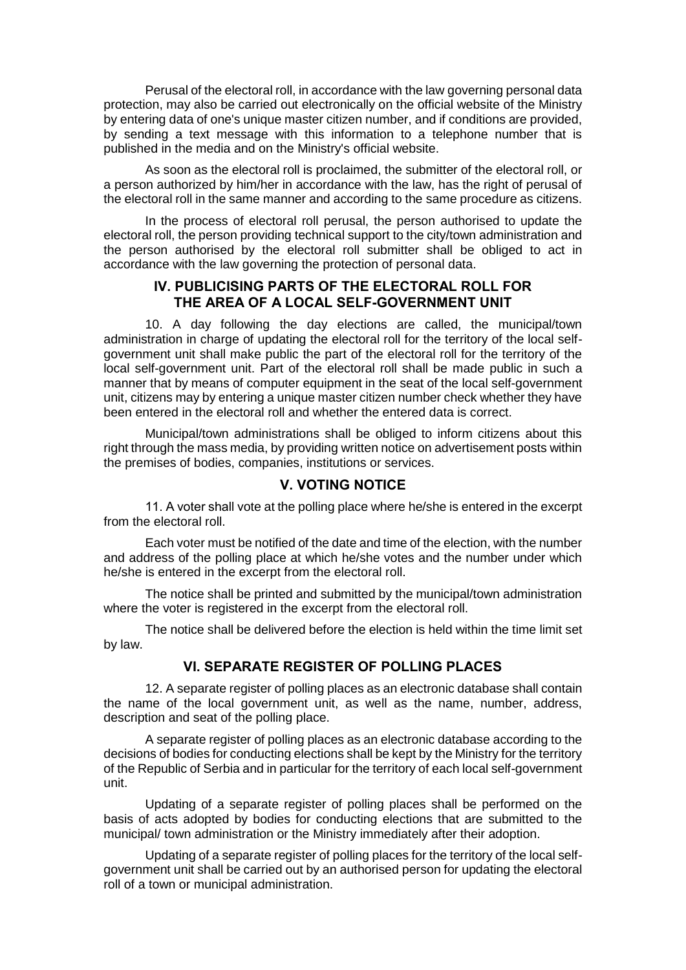Perusal of the electoral roll, in accordance with the law governing personal data protection, may also be carried out electronically on the official website of the Ministry by entering data of one's unique master citizen number, and if conditions are provided, by sending a text message with this information to a telephone number that is published in the media and on the Ministry's official website.

As soon as the electoral roll is proclaimed, the submitter of the electoral roll, or a person authorized by him/her in accordance with the law, has the right of perusal of the electoral roll in the same manner and according to the same procedure as citizens.

In the process of electoral roll perusal, the person authorised to update the electoral roll, the person providing technical support to the city/town administration and the person authorised by the electoral roll submitter shall be obliged to act in accordance with the law governing the protection of personal data.

# **IV. PUBLICISING PARTS OF THE ELECTORAL ROLL FOR THE AREA OF A LOCAL SELF-GOVERNMENT UNIT**

10. A day following the day elections are called, the municipal/town administration in charge of updating the electoral roll for the territory of the local selfgovernment unit shall make public the part of the electoral roll for the territory of the local self-government unit. Part of the electoral roll shall be made public in such a manner that by means of computer equipment in the seat of the local self-government unit, citizens may by entering a unique master citizen number check whether they have been entered in the electoral roll and whether the entered data is correct.

Municipal/town administrations shall be obliged to inform citizens about this right through the mass media, by providing written notice on advertisement posts within the premises of bodies, companies, institutions or services.

## **V. VOTING NOTICE**

11. А voter shall vote at the polling place where he/she is entered in the excerpt from the electoral roll.

Each voter must be notified of the date and time of the election, with the number and address of the polling place at which he/she votes and the number under which he/she is entered in the excerpt from the electoral roll.

The notice shall be printed and submitted by the municipal/town administration where the voter is registered in the excerpt from the electoral roll.

The notice shall be delivered before the election is held within the time limit set by law.

# **VI. SEPARATE REGISTER OF POLLING PLACES**

12. A separate register of polling places as an electronic database shall contain the name of the local government unit, as well as the name, number, address, description and seat of the polling place.

A separate register of polling places as an electronic database according to the decisions of bodies for conducting elections shall be kept by the Ministry for the territory of the Republic of Serbia and in particular for the territory of each local self-government unit.

Updating of a separate register of polling places shall be performed on the basis of acts adopted by bodies for conducting elections that are submitted to the municipal/ town administration or the Ministry immediately after their adoption.

Updating of a separate register of polling places for the territory of the local selfgovernment unit shall be carried out by an authorised person for updating the electoral roll of a town or municipal administration.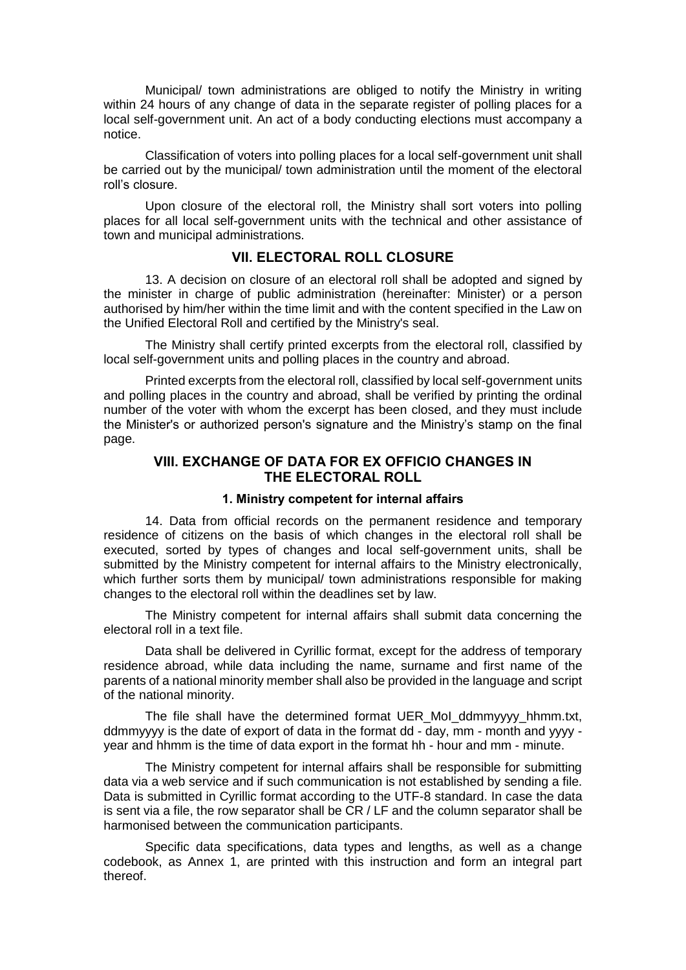Municipal/ town administrations are obliged to notify the Ministry in writing within 24 hours of any change of data in the separate register of polling places for a local self-government unit. An act of a body conducting elections must accompany a notice.

Classification of voters into polling places for a local self-government unit shall be carried out by the municipal/ town administration until the moment of the electoral roll's closure.

Upon closure of the electoral roll, the Ministry shall sort voters into polling places for all local self-government units with the technical and other assistance of town and municipal administrations.

### **VII. ELECTORAL ROLL CLOSURE**

13. A decision on closure of an electoral roll shall be adopted and signed by the minister in charge of public administration (hereinafter: Minister) or a person authorised by him/her within the time limit and with the content specified in the Law on the Unified Electoral Roll and certified by the Ministry's seal.

The Ministry shall certify printed excerpts from the electoral roll, classified by local self-government units and polling places in the country and abroad.

Printed excerpts from the electoral roll, classified by local self-government units and polling places in the country and abroad, shall be verified by printing the ordinal number of the voter with whom the excerpt has been closed, and they must include the Minister's or authorized person's signature and the Ministry's stamp on the final page.

# **VIII. EXCHANGE OF DATA FOR EX OFFICIO CHANGES IN THE ELECTORAL ROLL**

#### **1. Ministry competent for internal affairs**

14. Data from official records on the permanent residence and temporary residence of citizens on the basis of which changes in the electoral roll shall be executed, sorted by types of changes and local self-government units, shall be submitted by the Ministry competent for internal affairs to the Ministry electronically, which further sorts them by municipal/ town administrations responsible for making changes to the electoral roll within the deadlines set by law.

The Ministry competent for internal affairs shall submit data concerning the electoral roll in a text file.

Data shall be delivered in Cyrillic format, except for the address of temporary residence abroad, while data including the name, surname and first name of the parents of a national minority member shall also be provided in the language and script of the national minority.

The file shall have the determined format UER\_MoI\_ddmmyyyy\_hhmm.txt, ddmmyyyy is the date of export of data in the format dd - day, mm - month and yyyy year and hhmm is the time of data export in the format hh - hour and mm - minute.

The Ministry competent for internal affairs shall be responsible for submitting data via a web service and if such communication is not established by sending a file. Data is submitted in Cyrillic format according to the UTF-8 standard. In case the data is sent via a file, the row separator shall be CR / LF and the column separator shall be harmonised between the communication participants.

Specific data specifications, data types and lengths, as well as a change codebook, as Annex 1, are printed with this instruction and form an integral part thereof.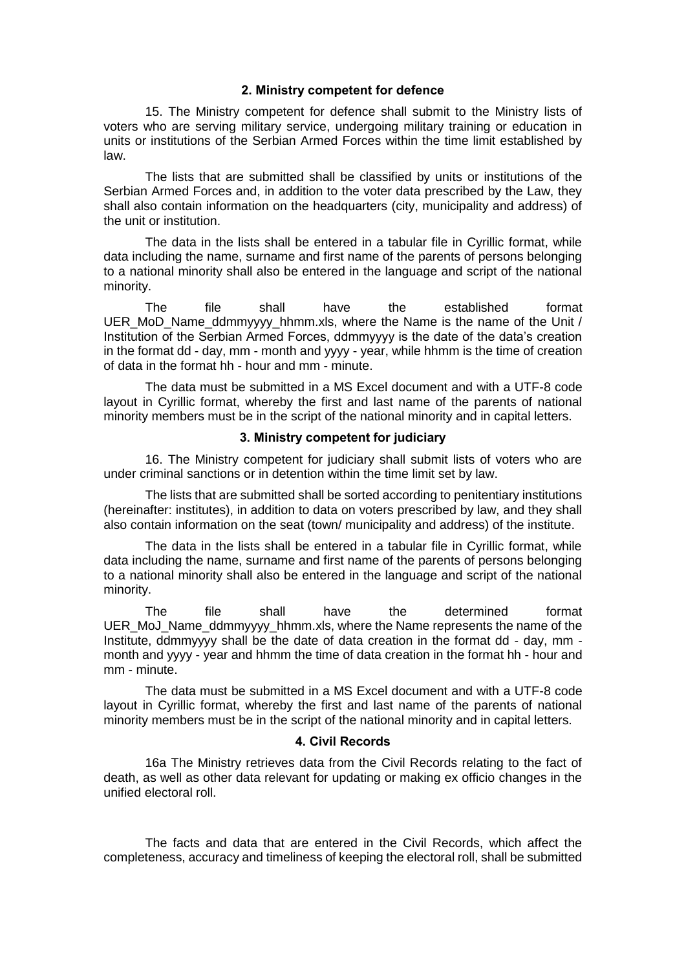#### **2. Ministry competent for defence**

15. The Ministry competent for defence shall submit to the Ministry lists of voters who are serving military service, undergoing military training or education in units or institutions of the Serbian Armed Forces within the time limit established by law.

The lists that are submitted shall be classified by units or institutions of the Serbian Armed Forces and, in addition to the voter data prescribed by the Law, they shall also contain information on the headquarters (city, municipality and address) of the unit or institution.

The data in the lists shall be entered in a tabular file in Cyrillic format, while data including the name, surname and first name of the parents of persons belonging to a national minority shall also be entered in the language and script of the national minority.

The file shall have the established format UER\_MoD\_Name\_ddmmyyyy\_hhmm.xls, where the Name is the name of the Unit / Institution of the Serbian Armed Forces, ddmmyyyy is the date of the data's creation in the format dd - day, mm - month and yyyy - year, while hhmm is the time of creation of data in the format hh - hour and mm - minute.

The data must be submitted in a MS Excel document and with a UTF-8 code layout in Cyrillic format, whereby the first and last name of the parents of national minority members must be in the script of the national minority and in capital letters.

### **3. Ministry competent for judiciary**

16. The Ministry competent for judiciary shall submit lists of voters who are under criminal sanctions or in detention within the time limit set by law.

The lists that are submitted shall be sorted according to penitentiary institutions (hereinafter: institutes), in addition to data on voters prescribed by law, and they shall also contain information on the seat (town/ municipality and address) of the institute.

The data in the lists shall be entered in a tabular file in Cyrillic format, while data including the name, surname and first name of the parents of persons belonging to a national minority shall also be entered in the language and script of the national minority.

The file shall have the determined format UER MoJ Name ddmmyyyy\_hhmm.xls, where the Name represents the name of the Institute, ddmmyyyy shall be the date of data creation in the format dd - day, mm month and yyyy - year and hhmm the time of data creation in the format hh - hour and mm - minute.

The data must be submitted in a MS Excel document and with a UTF-8 code layout in Cyrillic format, whereby the first and last name of the parents of national minority members must be in the script of the national minority and in capital letters.

#### **4. Civil Records**

16a The Ministry retrieves data from the Civil Records relating to the fact of death, as well as other data relevant for updating or making ex officio changes in the unified electoral roll.

The facts and data that are entered in the Civil Records, which affect the completeness, accuracy and timeliness of keeping the electoral roll, shall be submitted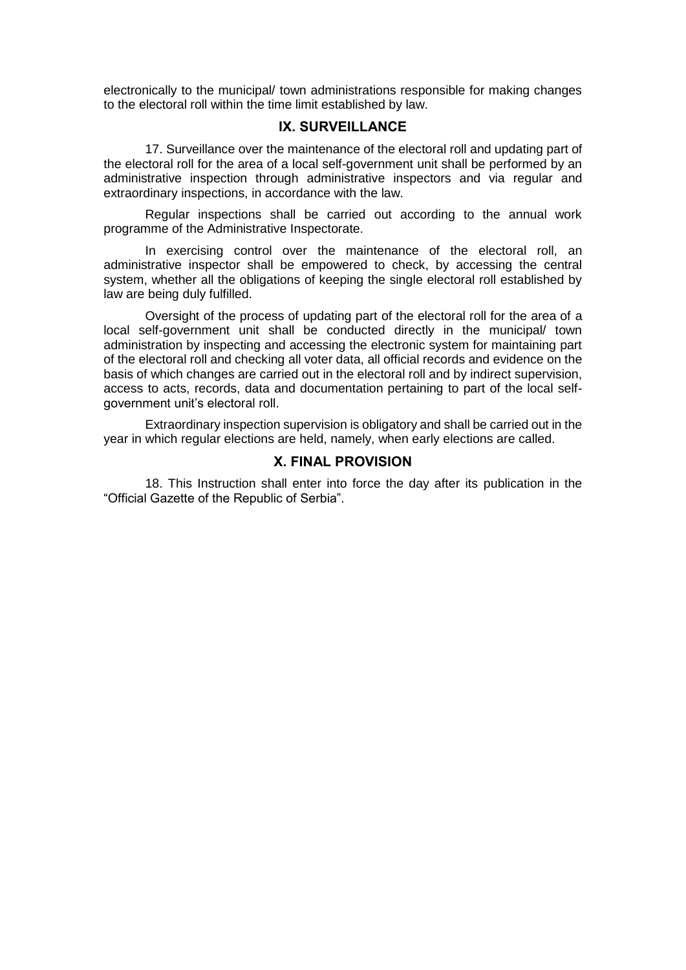electronically to the municipal/ town administrations responsible for making changes to the electoral roll within the time limit established by law.

## **IX. SURVEILLANCE**

17. Surveillance over the maintenance of the electoral roll and updating part of the electoral roll for the area of a local self-government unit shall be performed by an administrative inspection through administrative inspectors and via regular and extraordinary inspections, in accordance with the law.

Regular inspections shall be carried out according to the annual work programme of the Administrative Inspectorate.

In exercising control over the maintenance of the electoral roll, an administrative inspector shall be empowered to check, by accessing the central system, whether all the obligations of keeping the single electoral roll established by law are being duly fulfilled.

Oversight of the process of updating part of the electoral roll for the area of a local self-government unit shall be conducted directly in the municipal/ town administration by inspecting and accessing the electronic system for maintaining part of the electoral roll and checking all voter data, all official records and evidence on the basis of which changes are carried out in the electoral roll and by indirect supervision, access to acts, records, data and documentation pertaining to part of the local selfgovernment unit's electoral roll.

Extraordinary inspection supervision is obligatory and shall be carried out in the year in which regular elections are held, namely, when early elections are called.

### **X. FINAL PROVISION**

18. This Instruction shall enter into force the day after its publication in the "Official Gazette of the Republic of Serbia".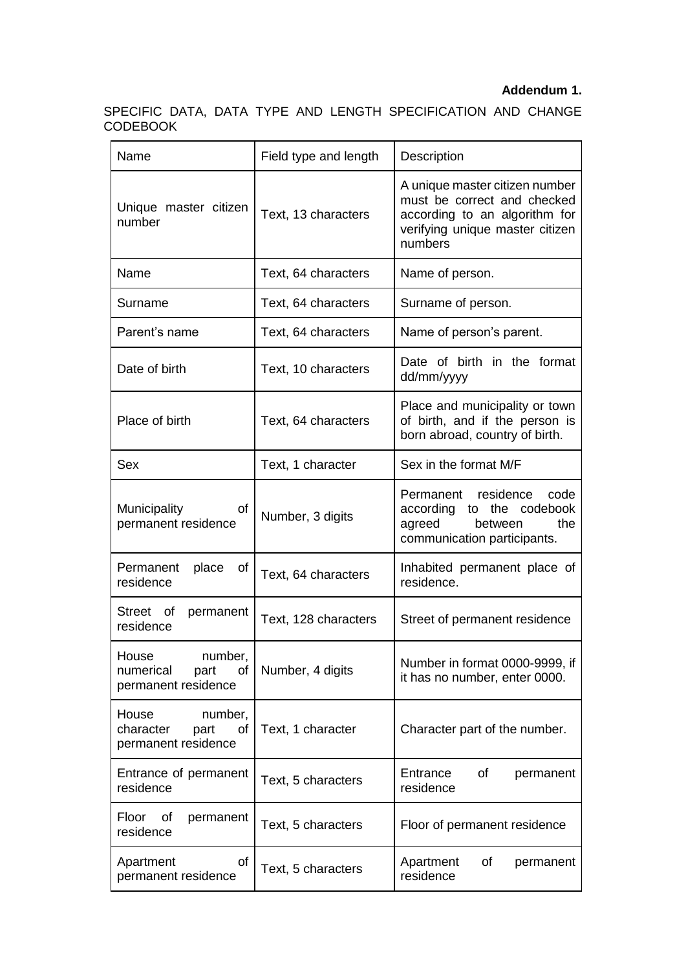### **Addendum 1.**

SPECIFIC DATA, DATA TYPE AND LENGTH SPECIFICATION AND CHANGE CODEBOOK

| Name                                                                               | Field type and length | Description                                                                                                                                  |  |
|------------------------------------------------------------------------------------|-----------------------|----------------------------------------------------------------------------------------------------------------------------------------------|--|
| Unique master citizen<br>number                                                    | Text, 13 characters   | A unique master citizen number<br>must be correct and checked<br>according to an algorithm for<br>verifying unique master citizen<br>numbers |  |
| Name                                                                               | Text, 64 characters   | Name of person.                                                                                                                              |  |
| Surname                                                                            | Text, 64 characters   | Surname of person.                                                                                                                           |  |
| Parent's name                                                                      | Text, 64 characters   | Name of person's parent.                                                                                                                     |  |
| Date of birth                                                                      | Text, 10 characters   | Date of birth in the format<br>dd/mm/yyyy                                                                                                    |  |
| Place of birth                                                                     | Text, 64 characters   | Place and municipality or town<br>of birth, and if the person is<br>born abroad, country of birth.                                           |  |
| Sex                                                                                | Text, 1 character     | Sex in the format M/F                                                                                                                        |  |
| Municipality<br>оf<br>permanent residence                                          | Number, 3 digits      | Permanent residence<br>code<br>according<br>to the codebook<br>the<br>agreed<br>between<br>communication participants.                       |  |
| Permanent<br>place<br>of<br>residence                                              | Text, 64 characters   | Inhabited permanent place of<br>residence.                                                                                                   |  |
| Street of<br>permanent<br>residence                                                | Text, 128 characters  | Street of permanent residence                                                                                                                |  |
| House<br>number,<br>numerical<br>$\circ$ of $\vert$<br>part<br>permanent residence | Number, 4 digits      | Number in format 0000-9999, if<br>it has no number, enter 0000.                                                                              |  |
| House<br>number,<br>character<br>part<br>0f<br>permanent residence                 | Text, 1 character     | Character part of the number.                                                                                                                |  |
| Entrance of permanent<br>residence                                                 | Text, 5 characters    | Entrance<br>οf<br>permanent<br>residence                                                                                                     |  |
| Floor<br>Οf<br>permanent<br>residence                                              | Text, 5 characters    | Floor of permanent residence                                                                                                                 |  |
| of<br>Apartment<br>permanent residence                                             | Text, 5 characters    | Apartment<br>0f<br>permanent<br>residence                                                                                                    |  |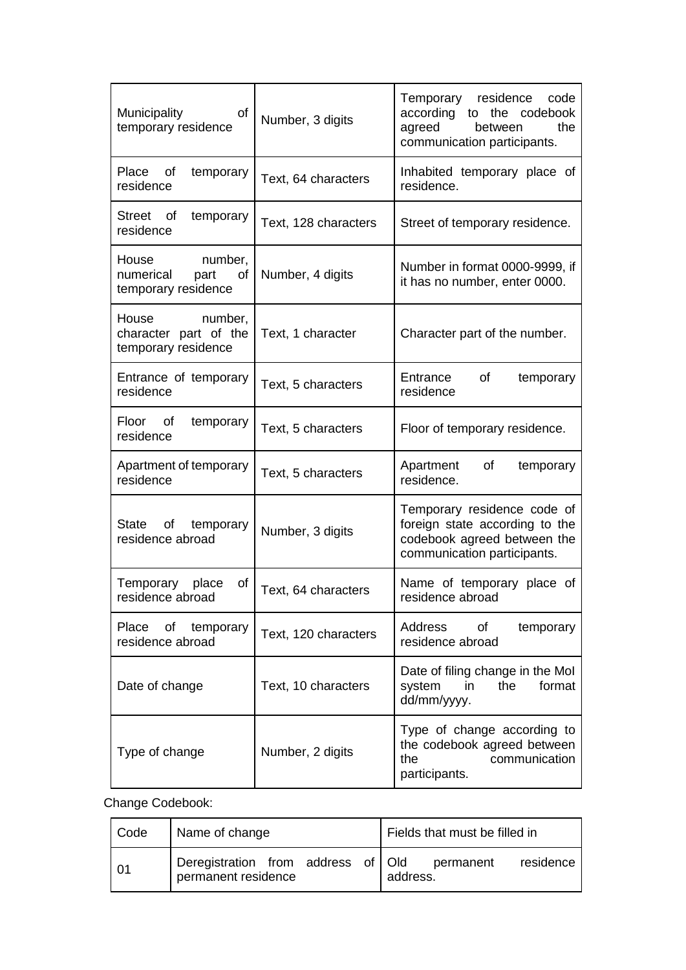| <b>Municipality</b><br>of<br>temporary residence                   | Number, 3 digits     | Temporary residence<br>code<br>according<br>to the codebook<br>agreed<br>between<br>the<br>communication participants.      |  |
|--------------------------------------------------------------------|----------------------|-----------------------------------------------------------------------------------------------------------------------------|--|
| Place of<br>temporary<br>residence                                 | Text, 64 characters  | Inhabited temporary place of<br>residence.                                                                                  |  |
| Street of<br>temporary<br>residence                                | Text, 128 characters | Street of temporary residence.                                                                                              |  |
| House<br>number,<br>numerical<br>part<br>of<br>temporary residence | Number, 4 digits     | Number in format 0000-9999, if<br>it has no number, enter 0000.                                                             |  |
| number,<br>House<br>character part of the<br>temporary residence   | Text, 1 character    | Character part of the number.                                                                                               |  |
| Entrance of temporary<br>residence                                 | Text, 5 characters   | Entrance<br>of<br>temporary<br>residence                                                                                    |  |
| Floor<br>of<br>temporary<br>residence                              | Text, 5 characters   | Floor of temporary residence.                                                                                               |  |
| Apartment of temporary<br>residence                                | Text, 5 characters   | Apartment<br>οf<br>temporary<br>residence.                                                                                  |  |
| State of temporary<br>residence abroad                             | Number, 3 digits     | Temporary residence code of<br>foreign state according to the<br>codebook agreed between the<br>communication participants. |  |
| Temporary place<br>οf<br>residence abroad                          | Text, 64 characters  | Name of temporary place of<br>residence abroad                                                                              |  |
| of temporary<br>Place<br>residence abroad                          | Text, 120 characters | Address<br>of<br>temporary<br>residence abroad                                                                              |  |
| Date of change                                                     | Text, 10 characters  | Date of filing change in the Mol<br>format<br>system<br>in<br>the<br>dd/mm/yyyy.                                            |  |
| Type of change                                                     | Number, 2 digits     | Type of change according to<br>the codebook agreed between<br>the<br>communication<br>participants.                         |  |

Change Codebook:

| Code           | Name of change                                            | Fields that must be filled in      |
|----------------|-----------------------------------------------------------|------------------------------------|
| 0 <sub>1</sub> | Deregistration from address of Old<br>permanent residence | residence<br>permanent<br>address. |